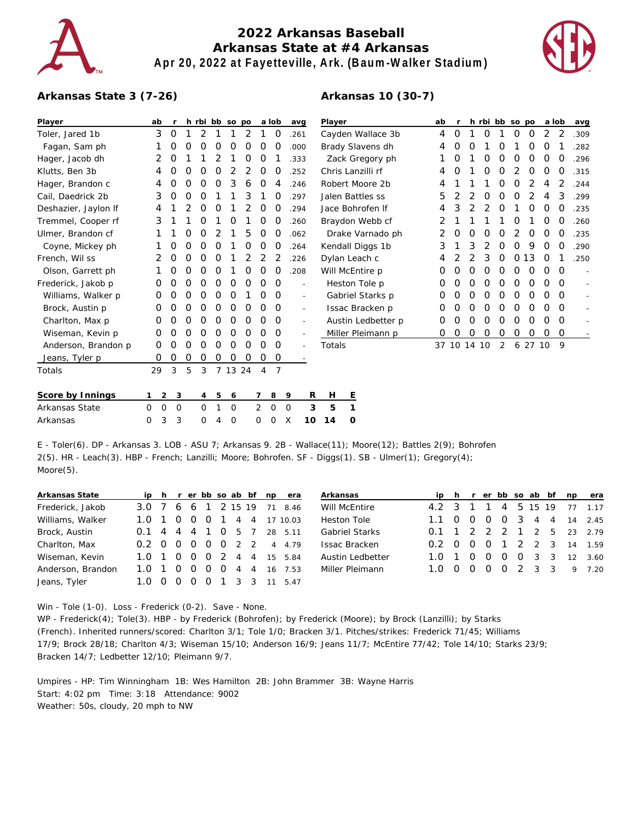

## **2022 Arkansas Baseball Arkansas State at #4 Arkansas Apr 20, 2022 at Fayetteville, Ark. (Baum-Walker Stadium)**

**Arkansas 10 (30-7)**



## **Arkansas State 3 (7-26)**

## **Player ab r h rbi bb so po a lob avg** Toler, Jared 1b 3 0 1 2 1 1 2 1 0 .261 Fagan, Sam ph 1 0 0 0 0 0 0 0 0 .000 Hager, Jacob dh 2 0 1 1 2 1 0 0 1 .333 Klutts, Ben 3b 4 0 0 0 0 2 2 0 0 .252 Hager, Brandon c 4 0 0 0 0 3 6 0 4 .246 Cail, Daedrick 2b 3 0 0 0 1 1 3 1 0 .297 Deshazier, Jaylon If 4 1 2 0 0 1 2 0 0 .294 Tremmel, Cooper rf 3 1 1 0 1 0 1 0 0 .260 Ulmer, Brandon cf 1 1 0 0 2 1 5 0 0 .062 Coyne, Mickey ph 1 0 0 0 0 1 0 0 0 .264 French, Wil ss 2 0 0 0 0 1 2 2 2 .226 Olson, Garrett ph 1 0 0 0 0 1 0 0 0 .208 Frederick, Jakob p 0 0 0 0 0 0 0 0 0 - Williams, Walker p 0 0 0 0 0 0 1 0 0 Brock, Austin p 0 0 0 0 0 0 0 0 0 - Charlton, Max p 0 0 0 0 0 0 0 0 0 - Wiseman, Kevin p 0 0 0 0 0 0 0 0 0 - Anderson, Brandon p 0 0 0 0 0 0 0 0 0 0 Jeans, Tyler p 0 0 0 0 0 0 0 0 0 - Totals 29 3 5 3 7 13 24 4 7 **Player ab r h rbi bb so po a lob avg** Cayden Wallace 3b 4 0 1 0 1 0 0 2 2 .309 Brady Slavens dh 4 0 0 1 0 1 0 0 1 .282 Zack Gregory ph 1 0 1 0 0 0 0 0 0 .296 Chris Lanzilli rf 4 0 1 0 0 2 0 0 0 .315 Robert Moore 2b 4 1 1 1 0 0 2 4 2 .244 Jalen Battles ss 5 2 2 0 0 0 2 4 3 .299 Jace Bohrofen lf 4 3 2 2 0 1 0 0 0 .235 Braydon Webb cf 2 1 1 1 1 0 1 0 0 .260 Drake Varnado ph 2 0 0 0 0 2 0 0 0 .235 Kendall Diggs 1b 3 1 3 2 0 0 9 0 0 .290 Dylan Leach c 4 2 2 3 0 0 13 0 1 .250 Will McEntire p 0 0 0 0 0 0 0 0 0 - Heston Tole p 0 0 0 0 0 0 0 0 0 - Gabriel Starks p 0 0 0 0 0 0 0 0 0 - Issac Bracken p 0 0 0 0 0 0 0 0 0 - Austin Ledbetter p 0 0 0 0 0 0 0 0 0 - Miller Pleimann p 0 0 0 0 0 0 0 0 0 - Totals 37 10 14 10 2 6 27 10 9 **Score by Innings 1 2 3 4 5 6 7 8 9 R H E** Arkansas State 0 0 0 0 1 0 2 0 0 **3 5 1**

E - Toler(6). DP - Arkansas 3. LOB - ASU 7; Arkansas 9. 2B - Wallace(11); Moore(12); Battles 2(9); Bohrofen 2(5). HR - Leach(3). HBP - French; Lanzilli; Moore; Bohrofen. SF - Diggs(1). SB - Ulmer(1); Gregory(4); Moore(5).

Arkansas 0 3 3 0 4 0 0 0 X **10 14 0**

| Arkansas State    |                     |  |          |                |             |                | ip h r er bb so ab bf np era | Arkansas              |               |                |                |                 |         |             | ip h r er bb so ab bf np era |
|-------------------|---------------------|--|----------|----------------|-------------|----------------|------------------------------|-----------------------|---------------|----------------|----------------|-----------------|---------|-------------|------------------------------|
| Frederick, Jakob  | 3.0 7 6 6 1 2 15 19 |  |          |                |             |                | 71 8.46                      | Will McEntire         | 4.2 3         |                |                | 4               | 5 15 19 |             | 77, 1.17                     |
| Williams, Walker  | 1.0 1 0 0 0         |  |          |                | $1 \quad 4$ |                | 4 17 10.03                   | Heston Tole           | $1.1 \quad 0$ | $\overline{O}$ | $\overline{O}$ |                 |         |             | 0 3 4 4 14 2.45              |
| Brock, Austin     | $0.1$ 4 4 4 1 0     |  |          |                | -5          |                | 28 5.11                      | <b>Gabriel Starks</b> |               |                |                |                 |         |             | 0.1 1 2 2 2 1 2 5 23 2.79    |
| Charlton, Max     | 0.2 0 0 0 0 0 2 2   |  |          |                |             |                | 4 4.79                       | <b>Issac Bracken</b>  | $0.2 \quad 0$ | $\overline{O}$ | $\overline{O}$ |                 |         |             | 1 2 2 3 14 1.59              |
| Wiseman, Kevin    | 1.0 1 0 0 0 2 4     |  |          |                |             |                | 4 15 5.84                    | Austin Ledbetter      | 1.0 1         | - 0            | $\Omega$       | $\overline{O}$  |         | $0 \t3 \t3$ | 12 3.60                      |
| Anderson, Brandon | 1.0 1 0 0 0 0 4     |  |          |                |             | $\overline{4}$ | 16 7.53                      | Miller Pleimann       | 1.0 0         | - 0            | $\Omega$       | $0 \t2 \t3 \t3$ |         |             | 9 7.20                       |
| Jeans, Tyler      | 1.0 0 0             |  | $\Omega$ | $\overline{O}$ |             |                | 11 547                       |                       |               |                |                |                 |         |             |                              |

Win - Tole (1-0). Loss - Frederick (0-2). Save - None.

WP - Frederick(4); Tole(3). HBP - by Frederick (Bohrofen); by Frederick (Moore); by Brock (Lanzilli); by Starks (French). Inherited runners/scored: Charlton 3/1; Tole 1/0; Bracken 3/1. Pitches/strikes: Frederick 71/45; Williams 17/9; Brock 28/18; Charlton 4/3; Wiseman 15/10; Anderson 16/9; Jeans 11/7; McEntire 77/42; Tole 14/10; Starks 23/9; Bracken 14/7; Ledbetter 12/10; Pleimann 9/7.

Umpires - HP: Tim Winningham 1B: Wes Hamilton 2B: John Brammer 3B: Wayne Harris Start: 4:02 pm Time: 3:18 Attendance: 9002 Weather: 50s, cloudy, 20 mph to NW